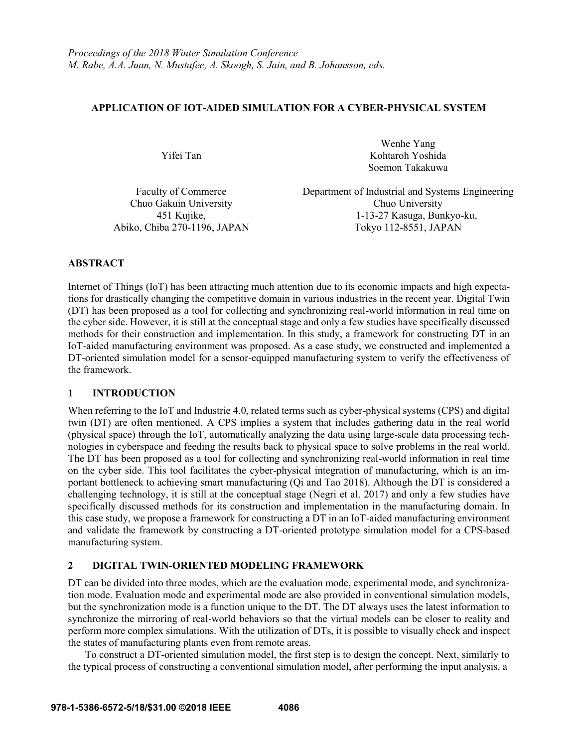# **APPLICATION OF IOT-AIDED SIMULATION FOR A CYBER-PHYSICAL SYSTEM**

Yifei Tan

Wenhe Yang Kohtaroh Yoshida Soemon Takakuwa

Faculty of Commerce Department of Industrial and Systems Engineering Chuo Gakuin University Chuo University 451 Kujike, 1-13-27 Kasuga, Bunkyo-ku, Abiko, Chiba 270-1196, JAPAN Tokyo 112-8551, JAPAN

# **ABSTRACT**

Internet of Things (IoT) has been attracting much attention due to its economic impacts and high expectations for drastically changing the competitive domain in various industries in the recent year. Digital Twin (DT) has been proposed as a tool for collecting and synchronizing real-world information in real time on the cyber side. However, it is still at the conceptual stage and only a few studies have specifically discussed methods for their construction and implementation. In this study, a framework for constructing DT in an IoT-aided manufacturing environment was proposed. As a case study, we constructed and implemented a DT-oriented simulation model for a sensor-equipped manufacturing system to verify the effectiveness of the framework.

## **1 INTRODUCTION**

When referring to the IoT and Industrie 4.0, related terms such as cyber-physical systems (CPS) and digital twin (DT) are often mentioned. A CPS implies a system that includes gathering data in the real world (physical space) through the IoT, automatically analyzing the data using large-scale data processing technologies in cyberspace and feeding the results back to physical space to solve problems in the real world. The DT has been proposed as a tool for collecting and synchronizing real-world information in real time on the cyber side. This tool facilitates the cyber-physical integration of manufacturing, which is an important bottleneck to achieving smart manufacturing (Qi and Tao 2018). Although the DT is considered a challenging technology, it is still at the conceptual stage (Negri et al. 2017) and only a few studies have specifically discussed methods for its construction and implementation in the manufacturing domain. In this case study, we propose a framework for constructing a DT in an IoT-aided manufacturing environment and validate the framework by constructing a DT-oriented prototype simulation model for a CPS-based manufacturing system.

# **2 DIGITAL TWIN-ORIENTED MODELING FRAMEWORK**

DT can be divided into three modes, which are the evaluation mode, experimental mode, and synchronization mode. Evaluation mode and experimental mode are also provided in conventional simulation models, but the synchronization mode is a function unique to the DT. The DT always uses the latest information to synchronize the mirroring of real-world behaviors so that the virtual models can be closer to reality and perform more complex simulations. With the utilization of DTs, it is possible to visually check and inspect the states of manufacturing plants even from remote areas.

To construct a DT-oriented simulation model, the first step is to design the concept. Next, similarly to the typical process of constructing a conventional simulation model, after performing the input analysis, a